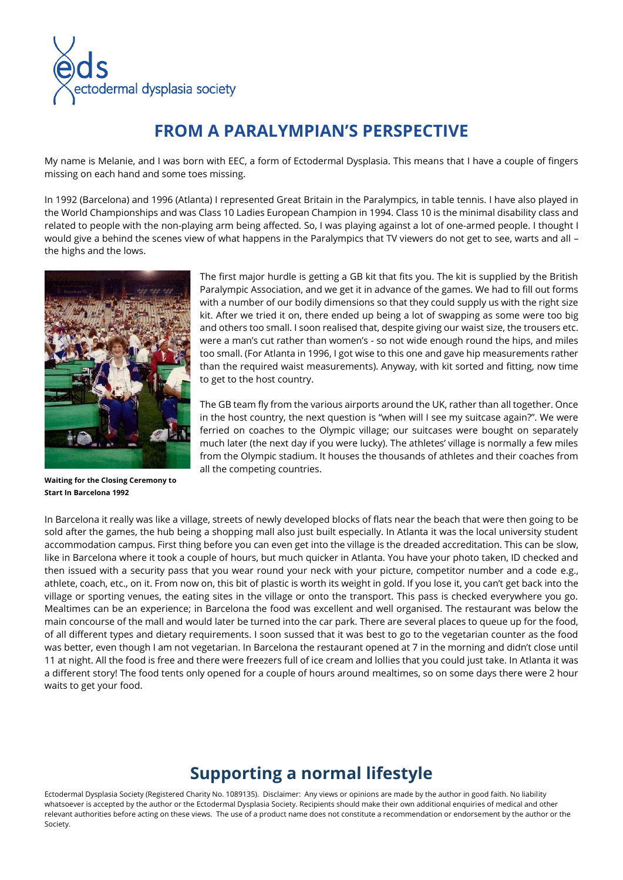

## **FROM A PARALYMPIAN'S PERSPECTIVE**

My name is Melanie, and I was born with EEC, a form of Ectodermal Dysplasia. This means that I have a couple of fingers missing on each hand and some toes missing.

In 1992 (Barcelona) and 1996 (Atlanta) I represented Great Britain in the Paralympics, in table tennis. I have also played in the World Championships and was Class 10 Ladies European Champion in 1994. Class 10 is the minimal disability class and related to people with the non-playing arm being affected. So, I was playing against a lot of one-armed people. I thought I would give a behind the scenes view of what happens in the Paralympics that TV viewers do not get to see, warts and all – the highs and the lows.



**Waiting for the Closing Ceremony to Start In Barcelona 1992**

The first major hurdle is getting a GB kit that fits you. The kit is supplied by the British Paralympic Association, and we get it in advance of the games. We had to fill out forms with a number of our bodily dimensions so that they could supply us with the right size kit. After we tried it on, there ended up being a lot of swapping as some were too big and others too small. I soon realised that, despite giving our waist size, the trousers etc. were a man's cut rather than women's - so not wide enough round the hips, and miles too small. (For Atlanta in 1996, I got wise to this one and gave hip measurements rather than the required waist measurements). Anyway, with kit sorted and fitting, now time to get to the host country.

The GB team fly from the various airports around the UK, rather than all together. Once in the host country, the next question is "when will I see my suitcase again?". We were ferried on coaches to the Olympic village; our suitcases were bought on separately much later (the next day if you were lucky). The athletes' village is normally a few miles from the Olympic stadium. It houses the thousands of athletes and their coaches from all the competing countries.

In Barcelona it really was like a village, streets of newly developed blocks of flats near the beach that were then going to be sold after the games, the hub being a shopping mall also just built especially. In Atlanta it was the local university student accommodation campus. First thing before you can even get into the village is the dreaded accreditation. This can be slow, like in Barcelona where it took a couple of hours, but much quicker in Atlanta. You have your photo taken, ID checked and then issued with a security pass that you wear round your neck with your picture, competitor number and a code e.g., athlete, coach, etc., on it. From now on, this bit of plastic is worth its weight in gold. If you lose it, you can't get back into the village or sporting venues, the eating sites in the village or onto the transport. This pass is checked everywhere you go. Mealtimes can be an experience; in Barcelona the food was excellent and well organised. The restaurant was below the main concourse of the mall and would later be turned into the car park. There are several places to queue up for the food, of all different types and dietary requirements. I soon sussed that it was best to go to the vegetarian counter as the food was better, even though I am not vegetarian. In Barcelona the restaurant opened at 7 in the morning and didn't close until 11 at night. All the food is free and there were freezers full of ice cream and lollies that you could just take. In Atlanta it was a different story! The food tents only opened for a couple of hours around mealtimes, so on some days there were 2 hour waits to get your food.

## **Supporting a normal lifestyle**

Ectodermal Dysplasia Society (Registered Charity No. 1089135). Disclaimer: Any views or opinions are made by the author in good faith. No liability whatsoever is accepted by the author or the Ectodermal Dysplasia Society. Recipients should make their own additional enquiries of medical and other relevant authorities before acting on these views. The use of a product name does not constitute a recommendation or endorsement by the author or the Society.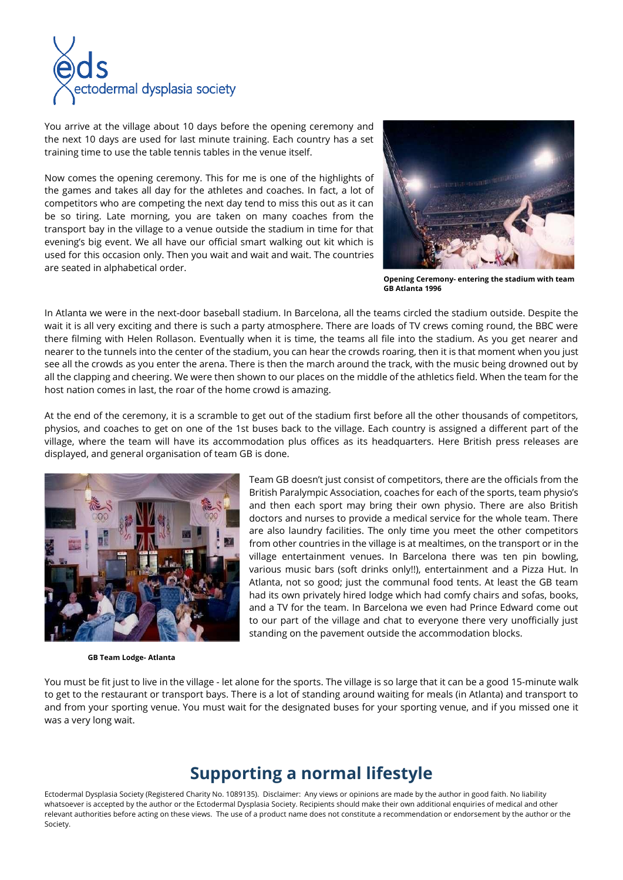

You arrive at the village about 10 days before the opening ceremony and the next 10 days are used for last minute training. Each country has a set training time to use the table tennis tables in the venue itself.

Now comes the opening ceremony. This for me is one of the highlights of the games and takes all day for the athletes and coaches. In fact, a lot of competitors who are competing the next day tend to miss this out as it can be so tiring. Late morning, you are taken on many coaches from the transport bay in the village to a venue outside the stadium in time for that evening's big event. We all have our official smart walking out kit which is used for this occasion only. Then you wait and wait and wait. The countries are seated in alphabetical order.



**Opening Ceremony- entering the stadium with team GB Atlanta 1996**

In Atlanta we were in the next-door baseball stadium. In Barcelona, all the teams circled the stadium outside. Despite the wait it is all very exciting and there is such a party atmosphere. There are loads of TV crews coming round, the BBC were there filming with Helen Rollason. Eventually when it is time, the teams all file into the stadium. As you get nearer and nearer to the tunnels into the center of the stadium, you can hear the crowds roaring, then it is that moment when you just see all the crowds as you enter the arena. There is then the march around the track, with the music being drowned out by all the clapping and cheering. We were then shown to our places on the middle of the athletics field. When the team for the host nation comes in last, the roar of the home crowd is amazing.

At the end of the ceremony, it is a scramble to get out of the stadium first before all the other thousands of competitors, physios, and coaches to get on one of the 1st buses back to the village. Each country is assigned a different part of the village, where the team will have its accommodation plus offices as its headquarters. Here British press releases are displayed, and general organisation of team GB is done.



 **GB Team Lodge- Atlanta**

Team GB doesn't just consist of competitors, there are the officials from the British Paralympic Association, coaches for each of the sports, team physio's and then each sport may bring their own physio. There are also British doctors and nurses to provide a medical service for the whole team. There are also laundry facilities. The only time you meet the other competitors from other countries in the village is at mealtimes, on the transport or in the village entertainment venues. In Barcelona there was ten pin bowling, various music bars (soft drinks only!!), entertainment and a Pizza Hut. In Atlanta, not so good; just the communal food tents. At least the GB team had its own privately hired lodge which had comfy chairs and sofas, books, and a TV for the team. In Barcelona we even had Prince Edward come out to our part of the village and chat to everyone there very unofficially just standing on the pavement outside the accommodation blocks.

You must be fit just to live in the village - let alone for the sports. The village is so large that it can be a good 15-minute walk to get to the restaurant or transport bays. There is a lot of standing around waiting for meals (in Atlanta) and transport to and from your sporting venue. You must wait for the designated buses for your sporting venue, and if you missed one it was a very long wait.

## **Supporting a normal lifestyle**

Ectodermal Dysplasia Society (Registered Charity No. 1089135). Disclaimer: Any views or opinions are made by the author in good faith. No liability whatsoever is accepted by the author or the Ectodermal Dysplasia Society. Recipients should make their own additional enquiries of medical and other relevant authorities before acting on these views. The use of a product name does not constitute a recommendation or endorsement by the author or the Society.